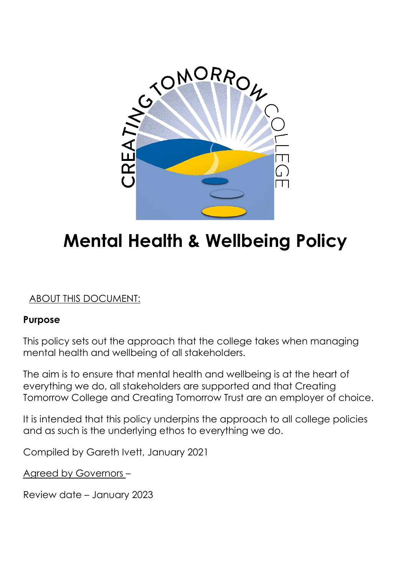

# **Mental Health & Wellbeing Policy**

## ABOUT THIS DOCUMENT:

### **Purpose**

This policy sets out the approach that the college takes when managing mental health and wellbeing of all stakeholders.

The aim is to ensure that mental health and wellbeing is at the heart of everything we do, all stakeholders are supported and that Creating Tomorrow College and Creating Tomorrow Trust are an employer of choice.

It is intended that this policy underpins the approach to all college policies and as such is the underlying ethos to everything we do.

Compiled by Gareth Ivett, January 2021

Agreed by Governors –

Review date – January 2023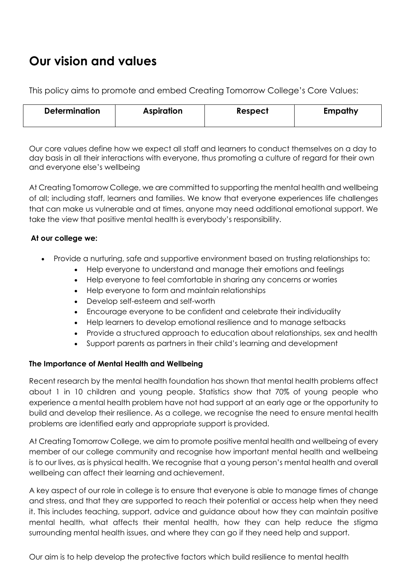# **Our vision and values**

This policy aims to promote and embed Creating Tomorrow College's Core Values:

| <b>Determination</b> | <b>Aspiration</b> | Respect | Empathy |
|----------------------|-------------------|---------|---------|
|                      |                   |         |         |

Our core values define how we expect all staff and learners to conduct themselves on a day to day basis in all their interactions with everyone, thus promoting a culture of regard for their own and everyone else's wellbeing

At Creating Tomorrow College, we are committed to supporting the mental health and wellbeing of all; including staff, learners and families. We know that everyone experiences life challenges that can make us vulnerable and at times, anyone may need additional emotional support. We take the view that positive mental health is everybody's responsibility.

#### **At our college we:**

- Provide a nurturing, safe and supportive environment based on trusting relationships to:
	- Help everyone to understand and manage their emotions and feelings
	- Help everyone to feel comfortable in sharing any concerns or worries
	- Help everyone to form and maintain relationships
	- Develop self-esteem and self-worth
	- Encourage everyone to be confident and celebrate their individuality
	- Help learners to develop emotional resilience and to manage setbacks
	- Provide a structured approach to education about relationships, sex and health
	- Support parents as partners in their child's learning and development

#### **The Importance of Mental Health and Wellbeing**

Recent research by the mental health foundation has shown that mental health problems affect about 1 in 10 children and young people. Statistics show that 70% of young people who experience a mental health problem have not had support at an early age or the opportunity to build and develop their resilience. As a college, we recognise the need to ensure mental health problems are identified early and appropriate support is provided.

At Creating Tomorrow College, we aim to promote positive mental health and wellbeing of every member of our college community and recognise how important mental health and wellbeing is to our lives, as is physical health. We recognise that a young person's mental health and overall wellbeing can affect their learning and achievement.

A key aspect of our role in college is to ensure that everyone is able to manage times of change and stress, and that they are supported to reach their potential or access help when they need it. This includes teaching, support, advice and guidance about how they can maintain positive mental health, what affects their mental health, how they can help reduce the stigma surrounding mental health issues, and where they can go if they need help and support.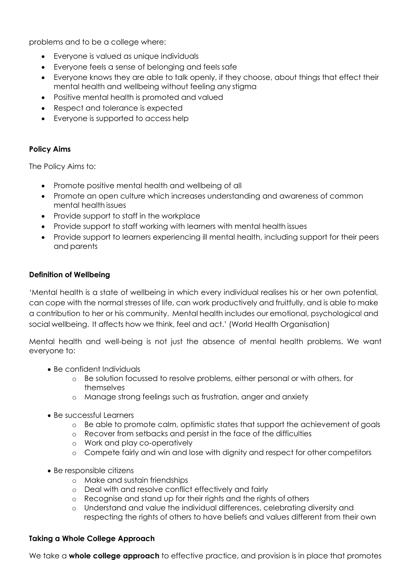problems and to be a college where:

- Everyone is valued as unique individuals
- Everyone feels a sense of belonging and feels safe
- Everyone knows they are able to talk openly, if they choose, about things that effect their mental health and wellbeing without feeling any stigma
- Positive mental health is promoted and valued
- Respect and tolerance is expected
- Everyone is supported to access help

#### **Policy Aims**

The Policy Aims to:

- Promote positive mental health and wellbeing of all
- Promote an open culture which increases understanding and awareness of common mental health issues
- Provide support to staff in the workplace
- Provide support to staff working with learners with mental health issues
- Provide support to learners experiencing ill mental health, including support for their peers and parents

#### **Definition of Wellbeing**

'Mental health is a state of wellbeing in which every individual realises his or her own potential, can cope with the normal stresses of life, can work productively and fruitfully, and is able to make a contribution to her or his community. Mental health includes our emotional, psychological and social wellbeing. It affects how we think, feel and act.' (World Health Organisation)

Mental health and well-being is not just the absence of mental health problems. We want everyone to:

- Be confident Individuals
	- o Be solution focussed to resolve problems, either personal or with others, for themselves
	- o Manage strong feelings such as frustration, anger and anxiety
- Be successful Learners
	- o Be able to promote calm, optimistic states that support the achievement of goals
	- o Recover from setbacks and persist in the face of the difficulties
	- o Work and play co-operatively
	- o Compete fairly and win and lose with dignity and respect for other competitors
- Be responsible citizens
	- o Make and sustain friendships
	- o Deal with and resolve conflict effectively and fairly
	- o Recognise and stand up for their rights and the rights of others
	- o Understand and value the individual differences, celebrating diversity and respecting the rights of others to have beliefs and values different from their own

#### **Taking a Whole College Approach**

We take a **whole college approach** to effective practice, and provision is in place that promotes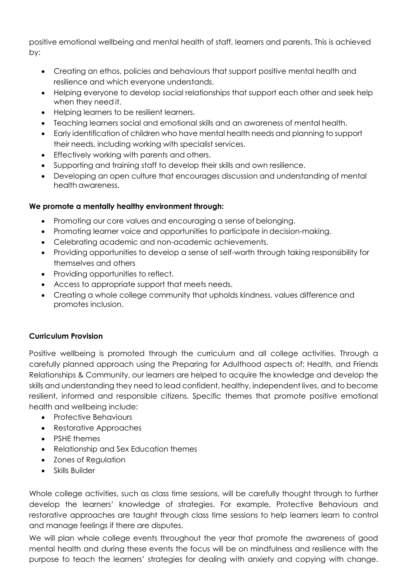positive emotional wellbeing and mental health of staff, learners and parents. This is achieved by:

- Creating an ethos, policies and behaviours that support positive mental health and resilience and which everyone understands.
- Helping everyone to develop social relationships that support each other and seek help when they need it.
- Helping learners to be resilient learners.
- Teaching learners social and emotional skills and an awareness of mental health.
- Early identification of children who have mental health needs and planning to support their needs, including working with specialist services.
- Effectively working with parents and others.
- Supporting and training staff to develop their skills and own resilience.
- Developing an open culture that encourages discussion and understanding of mental health awareness.

#### **We promote a mentally healthy environment through:**

- Promoting our core values and encouraging a sense of belonging.
- Promoting learner voice and opportunities to participate in decision-making.
- Celebrating academic and non-academic achievements.
- Providing opportunities to develop a sense of self-worth through taking responsibility for themselves and others
- Providing opportunities to reflect.
- Access to appropriate support that meets needs.
- Creating a whole college community that upholds kindness, values difference and promotes inclusion.

#### **Curriculum Provision**

Positive wellbeing is promoted through the curriculum and all college activities. Through a carefully planned approach using the Preparing for Adulthood aspects of; Health, and Friends Relationships & Community, our learners are helped to acquire the knowledge and develop the skills and understanding they need to lead confident, healthy, independent lives, and to become resilient, informed and responsible citizens. Specific themes that promote positive emotional health and wellbeing include:

- Protective Behaviours
- Restorative Approaches
- PSHE themes
- Relationship and Sex Education themes
- Zones of Regulation
- Skills Builder

Whole college activities, such as class time sessions, will be carefully thought through to further develop the learners' knowledge of strategies. For example, Protective Behaviours and restorative approaches are taught through class time sessions to help learners learn to control and manage feelings if there are disputes.

We will plan whole college events throughout the year that promote the awareness of good mental health and during these events the focus will be on mindfulness and resilience with the purpose to teach the learners' strategies for dealing with anxiety and copying with change.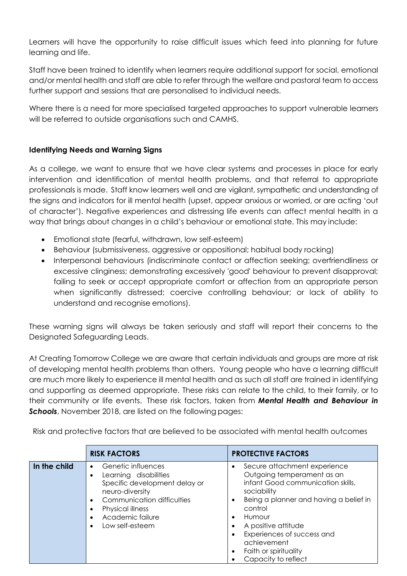Learners will have the opportunity to raise difficult issues which feed into planning for future learning and life.

Staff have been trained to identify when learners require additional support for social, emotional and/or mental health and staff are able to refer through the welfare and pastoral team to access further support and sessions that are personalised to individual needs.

Where there is a need for more specialised targeted approaches to support vulnerable learners will be referred to outside organisations such and CAMHS.

#### **Identifying Needs and Warning Signs**

As a college, we want to ensure that we have clear systems and processes in place for early intervention and identification of mental health problems, and that referral to appropriate professionals is made. Staff know learners well and are vigilant, sympathetic and understanding of the signs and indicators for ill mental health (upset, appear anxious or worried, or are acting 'out of character'). Negative experiences and distressing life events can affect mental health in a way that brings about changes in a child's behaviour or emotional state. This may include:

- Emotional state (fearful, withdrawn, low self-esteem)
- Behaviour (submissiveness, aggressive or oppositional; habitual body rocking)
- Interpersonal behaviours (indiscriminate contact or affection seeking; overfriendliness or excessive clinginess; demonstrating excessively 'good' behaviour to prevent disapproval; failing to seek or accept appropriate comfort or affection from an appropriate person when significantly distressed; coercive controlling behaviour; or lack of ability to understand and recognise emotions).

These warning signs will always be taken seriously and staff will report their concerns to the Designated Safeguarding Leads.

At Creating Tomorrow College we are aware that certain individuals and groups are more at risk of developing mental health problems than others. Young people who have a learning difficult are much more likely to experience ill mental health and as such all staff are trained in identifying and supporting as deemed appropriate. These risks can relate to the child, to their family, or to their community or life events. These risk factors, taken from *Mental Health and Behaviour in*  **Schools**, November 2018, are listed on the following pages:

|              | <b>RISK FACTORS</b>                                                                                                                                                                                                                                           | <b>PROTECTIVE FACTORS</b>                                                                                                                                                                                                                                                                                                                  |  |
|--------------|---------------------------------------------------------------------------------------------------------------------------------------------------------------------------------------------------------------------------------------------------------------|--------------------------------------------------------------------------------------------------------------------------------------------------------------------------------------------------------------------------------------------------------------------------------------------------------------------------------------------|--|
| In the child | Genetic influences<br>$\bullet$<br>Learning disabilities<br>٠<br>Specific development delay or<br>neuro-diversity<br>Communication difficulties<br>$\bullet$<br><b>Physical illness</b><br>٠<br>Academic failure<br>$\bullet$<br>Low self-esteem<br>$\bullet$ | Secure attachment experience<br>Outgoing temperament as an<br>infant Good communication skills,<br>sociability<br>Being a planner and having a belief in<br>$\bullet$<br>control<br>Humour<br>٠<br>A positive attitude<br>٠<br>Experiences of success and<br>$\bullet$<br>achievement<br>Faith or spirituality<br>٠<br>Capacity to reflect |  |

Risk and protective factors that are believed to be associated with mental health outcomes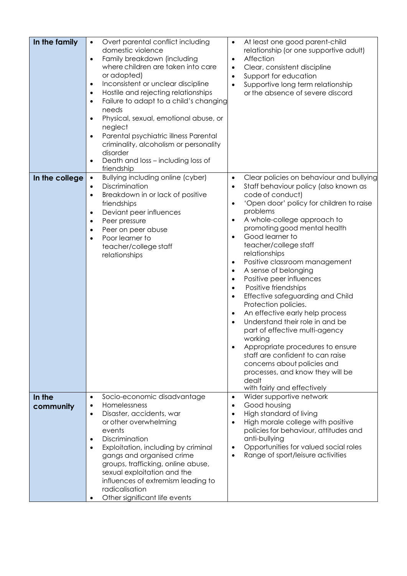| In the family       | Overt parental conflict including<br>$\bullet$<br>domestic violence<br>Family breakdown (including<br>$\bullet$<br>where children are taken into care<br>or adopted)<br>Inconsistent or unclear discipline<br>$\bullet$<br>Hostile and rejecting relationships<br>$\bullet$<br>Failure to adapt to a child's changing<br>$\bullet$<br>needs<br>Physical, sexual, emotional abuse, or<br>$\bullet$<br>neglect<br>Parental psychiatric illness Parental<br>$\bullet$<br>criminality, alcoholism or personality<br>disorder<br>Death and loss – including loss of<br>$\bullet$<br>friendship | At least one good parent-child<br>$\bullet$<br>relationship (or one supportive adult)<br>Affection<br>$\bullet$<br>Clear, consistent discipline<br>$\bullet$<br>Support for education<br>$\bullet$<br>Supportive long term relationship<br>$\bullet$<br>or the absence of severe discord                                                                                                                                                                                                                                                                                                                                                                                                                                                                                                                                                                                                                                             |
|---------------------|-------------------------------------------------------------------------------------------------------------------------------------------------------------------------------------------------------------------------------------------------------------------------------------------------------------------------------------------------------------------------------------------------------------------------------------------------------------------------------------------------------------------------------------------------------------------------------------------|--------------------------------------------------------------------------------------------------------------------------------------------------------------------------------------------------------------------------------------------------------------------------------------------------------------------------------------------------------------------------------------------------------------------------------------------------------------------------------------------------------------------------------------------------------------------------------------------------------------------------------------------------------------------------------------------------------------------------------------------------------------------------------------------------------------------------------------------------------------------------------------------------------------------------------------|
| In the college      | Bullying including online (cyber)<br>$\bullet$<br>Discrimination<br>$\bullet$<br>Breakdown in or lack of positive<br>$\bullet$<br>friendships<br>Deviant peer influences<br>$\bullet$<br>Peer pressure<br>$\bullet$<br>Peer on peer abuse<br>$\bullet$<br>Poor learner to<br>$\bullet$<br>teacher/college staff<br>relationships                                                                                                                                                                                                                                                          | Clear policies on behaviour and bullying<br>$\bullet$<br>Staff behaviour policy (also known as<br>$\bullet$<br>code of conduct)<br>'Open door' policy for children to raise<br>$\bullet$<br>problems<br>A whole-college approach to<br>$\bullet$<br>promoting good mental health<br>Good learner to<br>$\bullet$<br>teacher/college staff<br>relationships<br>Positive classroom management<br>$\bullet$<br>A sense of belonging<br>$\bullet$<br>Positive peer influences<br>$\bullet$<br>Positive friendships<br>$\bullet$<br>Effective safeguarding and Child<br>$\bullet$<br>Protection policies.<br>An effective early help process<br>$\bullet$<br>Understand their role in and be<br>$\bullet$<br>part of effective multi-agency<br>working<br>Appropriate procedures to ensure<br>staff are confident to can raise<br>concerns about policies and<br>processes, and know they will be<br>dealt<br>with fairly and effectively |
| In the<br>community | Socio-economic disadvantage<br>$\bullet$<br>Homelessness<br>$\bullet$<br>Disaster, accidents, war<br>$\bullet$<br>or other overwhelming<br>events<br>Discrimination<br>$\bullet$<br>Exploitation, including by criminal<br>$\bullet$<br>gangs and organised crime<br>groups, trafficking, online abuse,<br>sexual exploitation and the<br>influences of extremism leading to<br>radicalisation<br>Other significant life events                                                                                                                                                           | Wider supportive network<br>$\bullet$<br>Good housing<br>$\bullet$<br>High standard of living<br>$\bullet$<br>High morale college with positive<br>policies for behaviour, attitudes and<br>anti-bullying<br>Opportunities for valued social roles<br>$\bullet$<br>Range of sport/leisure activities                                                                                                                                                                                                                                                                                                                                                                                                                                                                                                                                                                                                                                 |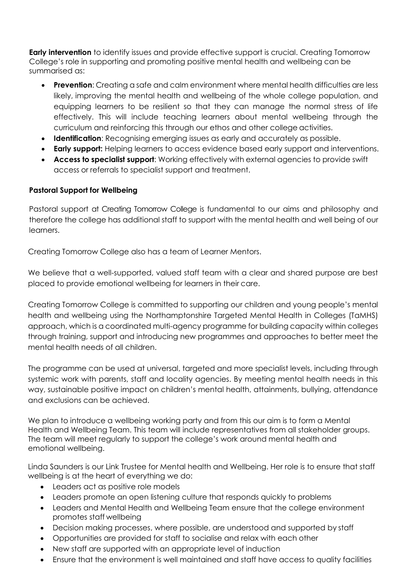**Early intervention** to identify issues and provide effective support is crucial. Creating Tomorrow College's role in supporting and promoting positive mental health and wellbeing can be summarised as:

- **Prevention**: Creating a safe and calm environment where mental health difficulties are less likely, improving the mental health and wellbeing of the whole college population, and equipping learners to be resilient so that they can manage the normal stress of life effectively. This will include teaching learners about mental wellbeing through the curriculum and reinforcing this through our ethos and other college activities.
- **Identification**: Recognising emerging issues as early and accurately as possible.
- **Early support:** Helping learners to access evidence based early support and interventions.
- **Access to specialist support**: Working effectively with external agencies to provide swift access or referrals to specialist support and treatment.

#### **Pastoral Support for Wellbeing**

Pastoral support at Creating Tomorrow College is fundamental to our aims and philosophy and therefore the college has additional staff to support with the mental health and well being of our learners.

Creating Tomorrow College also has a team of Learner Mentors.

We believe that a well-supported, valued staff team with a clear and shared purpose are best placed to provide emotional wellbeing for learners in their care.

Creating Tomorrow College is committed to supporting our children and young people's mental health and wellbeing using the Northamptonshire Targeted Mental Health in Colleges (TaMHS) approach, which is a coordinated multi-agency programme for building capacity within colleges through training, support and introducing new programmes and approaches to better meet the mental health needs of all children.

The programme can be used at universal, targeted and more specialist levels, including through systemic work with parents, staff and locality agencies. By meeting mental health needs in this way, sustainable positive impact on children's mental health, attainments, bullying, attendance and exclusions can be achieved.

We plan to introduce a wellbeing working party and from this our aim is to form a Mental Health and Wellbeing Team. This team will include representatives from all stakeholder groups. The team will meet regularly to support the college's work around mental health and emotional wellbeing.

Linda Saunders is our Link Trustee for Mental health and Wellbeing. Her role is to ensure that staff wellbeing is at the heart of everything we do:

- Leaders act as positive role models
- Leaders promote an open listening culture that responds quickly to problems
- Leaders and Mental Health and Wellbeing Team ensure that the college environment promotes staff wellbeing
- Decision making processes, where possible, are understood and supported by staff
- Opportunities are provided for staff to socialise and relax with each other
- New staff are supported with an appropriate level of induction
- Ensure that the environment is well maintained and staff have access to quality facilities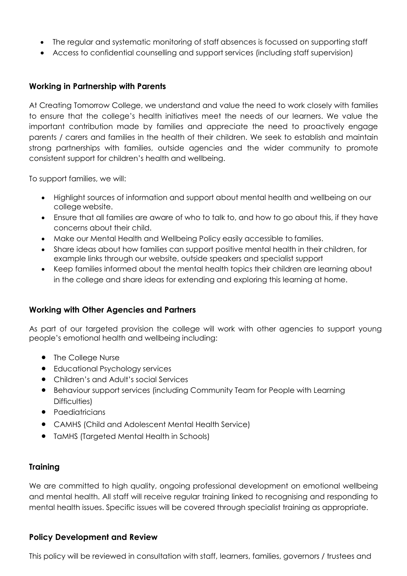- The regular and systematic monitoring of staff absences is focussed on supporting staff
- Access to confidential counselling and support services (including staff supervision)

#### **Working in Partnership with Parents**

At Creating Tomorrow College, we understand and value the need to work closely with families to ensure that the college's health initiatives meet the needs of our learners. We value the important contribution made by families and appreciate the need to proactively engage parents / carers and families in the health of their children. We seek to establish and maintain strong partnerships with families, outside agencies and the wider community to promote consistent support for children's health and wellbeing.

To support families, we will:

- Highlight sources of information and support about mental health and wellbeing on our college website.
- Ensure that all families are aware of who to talk to, and how to go about this, if they have concerns about their child.
- Make our Mental Health and Wellbeing Policy easily accessible to families.
- Share ideas about how families can support positive mental health in their children, for example links through our website, outside speakers and specialist support
- Keep families informed about the mental health topics their children are learning about in the college and share ideas for extending and exploring this learning at home.

#### **Working with Other Agencies and Partners**

As part of our targeted provision the college will work with other agencies to support young people's emotional health and wellbeing including:

- The College Nurse
- **•** Educational Psychology services
- Children's and Adult's social Services
- Behaviour support services (including Community Team for People with Learning Difficulties)
- Paediatricians
- CAMHS (Child and Adolescent Mental Health Service)
- TaMHS (Targeted Mental Health in Schools)

#### **Training**

We are committed to high quality, ongoing professional development on emotional wellbeing and mental health. All staff will receive regular training linked to recognising and responding to mental health issues. Specific issues will be covered through specialist training as appropriate.

#### **Policy Development and Review**

This policy will be reviewed in consultation with staff, learners, families, governors / trustees and